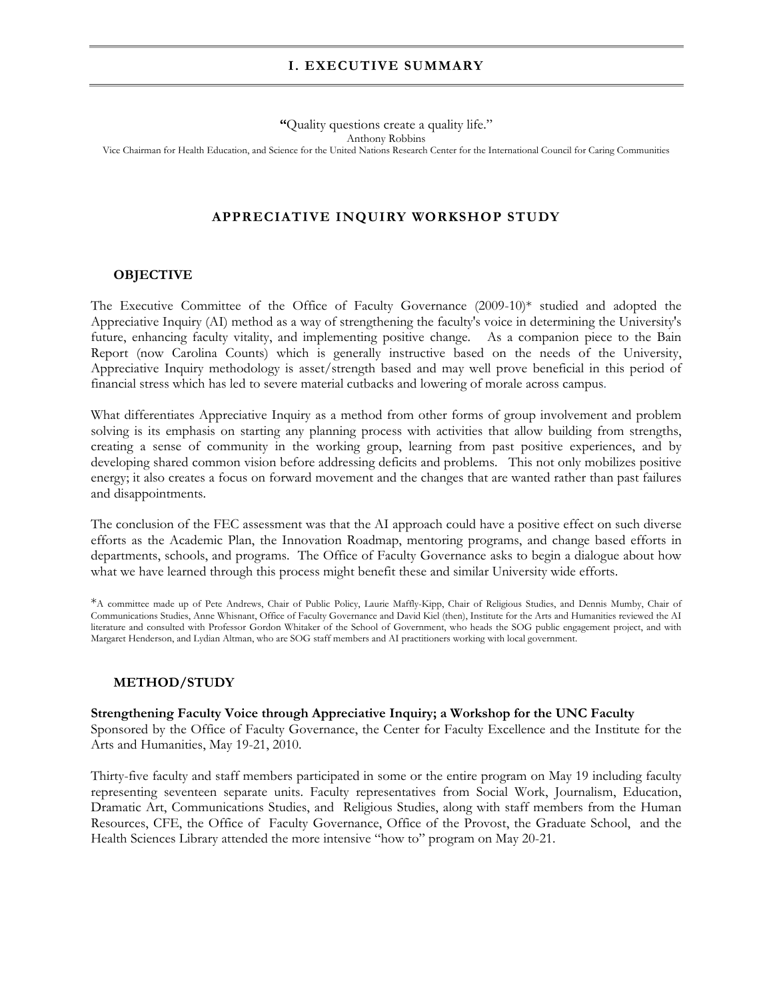# **"**Quality questions create a quality life."

Anthony Robbins

Vice Chairman for Health Education, and Science for the United Nations Research Center for the International Council for Caring Communities

### **APPRECIATIVE INQUIRY WORKSHOP STUDY**

### **OBJECTIVE**

The Executive Committee of the Office of Faculty Governance (2009-10)\* studied and adopted the Appreciative Inquiry (AI) method as a way of strengthening the faculty's voice in determining the University's future, enhancing faculty vitality, and implementing positive change. As a companion piece to the Bain Report (now Carolina Counts) which is generally instructive based on the needs of the University, Appreciative Inquiry methodology is asset/strength based and may well prove beneficial in this period of financial stress which has led to severe material cutbacks and lowering of morale across campus.

What differentiates Appreciative Inquiry as a method from other forms of group involvement and problem solving is its emphasis on starting any planning process with activities that allow building from strengths, creating a sense of community in the working group, learning from past positive experiences, and by developing shared common vision before addressing deficits and problems. This not only mobilizes positive energy; it also creates a focus on forward movement and the changes that are wanted rather than past failures and disappointments.

The conclusion of the FEC assessment was that the AI approach could have a positive effect on such diverse efforts as the Academic Plan, the Innovation Roadmap, mentoring programs, and change based efforts in departments, schools, and programs. The Office of Faculty Governance asks to begin a dialogue about how what we have learned through this process might benefit these and similar University wide efforts.

\*A committee made up of Pete Andrews, Chair of Public Policy, Laurie Maffly-Kipp, Chair of Religious Studies, and Dennis Mumby, Chair of Communications Studies, Anne Whisnant, Office of Faculty Governance and David Kiel (then), Institute for the Arts and Humanities reviewed the AI literature and consulted with Professor Gordon Whitaker of the School of Government, who heads the SOG public engagement project, and with Margaret Henderson, and Lydian Altman, who are SOG staff members and AI practitioners working with local government.

#### **METHOD/STUDY**

#### **Strengthening Faculty Voice through Appreciative Inquiry; a Workshop for the UNC Faculty**

Sponsored by the Office of Faculty Governance, the Center for Faculty Excellence and the Institute for the Arts and Humanities, May 19-21, 2010.

Thirty-five faculty and staff members participated in some or the entire program on May 19 including faculty representing seventeen separate units. Faculty representatives from Social Work, Journalism, Education, Dramatic Art, Communications Studies, and Religious Studies, along with staff members from the Human Resources, CFE, the Office of Faculty Governance, Office of the Provost, the Graduate School, and the Health Sciences Library attended the more intensive "how to" program on May 20-21.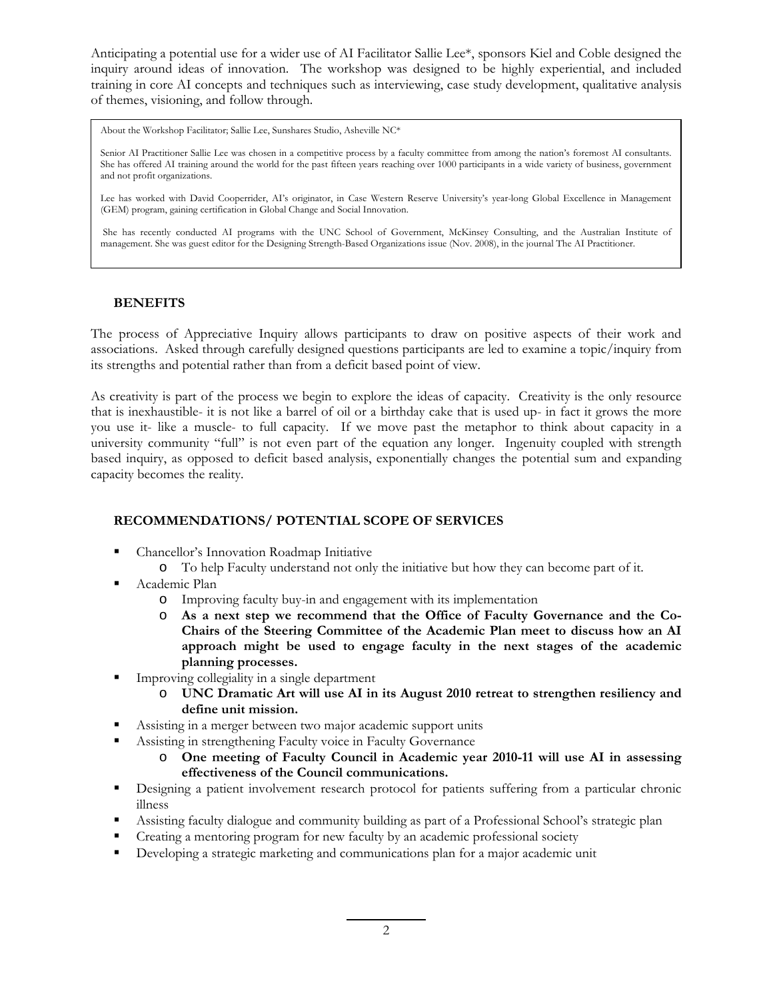Anticipating a potential use for a wider use of AI Facilitator Sallie Lee\*, sponsors Kiel and Coble designed the inquiry around ideas of innovation. The workshop was designed to be highly experiential, and included training in core AI concepts and techniques such as interviewing, case study development, qualitative analysis of themes, visioning, and follow through.

About the Workshop Facilitator; Sallie Lee, Sunshares Studio, Asheville NC\*

Senior AI Practitioner Sallie Lee was chosen in a competitive process by a faculty committee from among the nation's foremost AI consultants. She has offered AI training around the world for the past fifteen years reaching over 1000 participants in a wide variety of business, government and not profit organizations.

Lee has worked with David Cooperrider, AI's originator, in Case Western Reserve University's year-long Global Excellence in Management (GEM) program, gaining certification in Global Change and Social Innovation.

 She has recently conducted AI programs with the UNC School of Government, McKinsey Consulting, and the Australian Institute of management. She was guest editor for the Designing Strength-Based Organizations issue (Nov. 2008), in the journal The AI Practitioner.

## **BENEFITS**

The process of Appreciative Inquiry allows participants to draw on positive aspects of their work and associations. Asked through carefully designed questions participants are led to examine a topic/inquiry from its strengths and potential rather than from a deficit based point of view.

As creativity is part of the process we begin to explore the ideas of capacity. Creativity is the only resource that is inexhaustible- it is not like a barrel of oil or a birthday cake that is used up- in fact it grows the more you use it- like a muscle- to full capacity. If we move past the metaphor to think about capacity in a university community "full" is not even part of the equation any longer. Ingenuity coupled with strength based inquiry, as opposed to deficit based analysis, exponentially changes the potential sum and expanding capacity becomes the reality.

## **RECOMMENDATIONS/ POTENTIAL SCOPE OF SERVICES**

- Chancellor's Innovation Roadmap Initiative
	- o To help Faculty understand not only the initiative but how they can become part of it.
- Academic Plan
	- o Improving faculty buy-in and engagement with its implementation
	- o **As a next step we recommend that the Office of Faculty Governance and the Co-Chairs of the Steering Committee of the Academic Plan meet to discuss how an AI approach might be used to engage faculty in the next stages of the academic planning processes.**
- **Improving collegiality in a single department** 
	- o **UNC Dramatic Art will use AI in its August 2010 retreat to strengthen resiliency and define unit mission.**
- Assisting in a merger between two major academic support units
- Assisting in strengthening Faculty voice in Faculty Governance
	- o **One meeting of Faculty Council in Academic year 2010-11 will use AI in assessing effectiveness of the Council communications.**
- Designing a patient involvement research protocol for patients suffering from a particular chronic illness
- Assisting faculty dialogue and community building as part of a Professional School's strategic plan
- Creating a mentoring program for new faculty by an academic professional society
- Developing a strategic marketing and communications plan for a major academic unit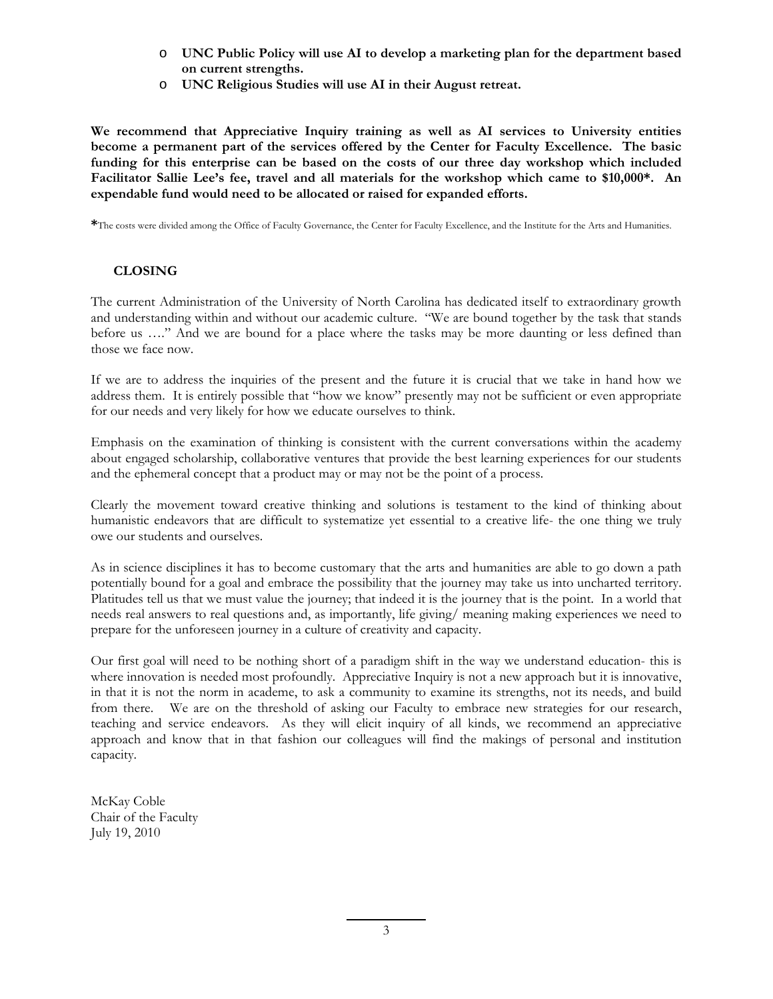- o **UNC Public Policy will use AI to develop a marketing plan for the department based on current strengths.**
- o **UNC Religious Studies will use AI in their August retreat.**

**We recommend that Appreciative Inquiry training as well as AI services to University entities become a permanent part of the services offered by the Center for Faculty Excellence. The basic funding for this enterprise can be based on the costs of our three day workshop which included Facilitator Sallie Lee's fee, travel and all materials for the workshop which came to \$10,000\*. An expendable fund would need to be allocated or raised for expanded efforts.** 

**\***The costs were divided among the Office of Faculty Governance, the Center for Faculty Excellence, and the Institute for the Arts and Humanities.

# **CLOSING**

The current Administration of the University of North Carolina has dedicated itself to extraordinary growth and understanding within and without our academic culture. "We are bound together by the task that stands before us …." And we are bound for a place where the tasks may be more daunting or less defined than those we face now.

If we are to address the inquiries of the present and the future it is crucial that we take in hand how we address them. It is entirely possible that "how we know" presently may not be sufficient or even appropriate for our needs and very likely for how we educate ourselves to think.

Emphasis on the examination of thinking is consistent with the current conversations within the academy about engaged scholarship, collaborative ventures that provide the best learning experiences for our students and the ephemeral concept that a product may or may not be the point of a process.

Clearly the movement toward creative thinking and solutions is testament to the kind of thinking about humanistic endeavors that are difficult to systematize yet essential to a creative life- the one thing we truly owe our students and ourselves.

As in science disciplines it has to become customary that the arts and humanities are able to go down a path potentially bound for a goal and embrace the possibility that the journey may take us into uncharted territory. Platitudes tell us that we must value the journey; that indeed it is the journey that is the point. In a world that needs real answers to real questions and, as importantly, life giving/ meaning making experiences we need to prepare for the unforeseen journey in a culture of creativity and capacity.

Our first goal will need to be nothing short of a paradigm shift in the way we understand education- this is where innovation is needed most profoundly. Appreciative Inquiry is not a new approach but it is innovative, in that it is not the norm in academe, to ask a community to examine its strengths, not its needs, and build from there. We are on the threshold of asking our Faculty to embrace new strategies for our research, teaching and service endeavors. As they will elicit inquiry of all kinds, we recommend an appreciative approach and know that in that fashion our colleagues will find the makings of personal and institution capacity.

McKay Coble Chair of the Faculty July 19, 2010